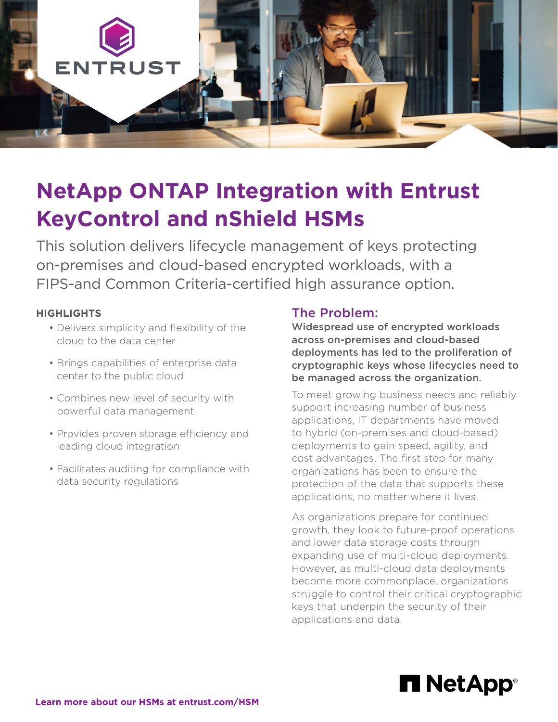

# **NetApp ONTAP Integration with Entrust KeyControl and nShield HSMs**

This solution delivers lifecycle management of keys protecting on-premises and cloud-based encrypted workloads, with a FIPS-and Common Criteria-certified high assurance option.

#### **HIGHLIGHTS**

- Delivers simplicity and flexibility of the cloud to the data center
- Brings capabilities of enterprise data center to the public cloud
- Combines new level of security with powerful data management
- Provides proven storage efficiency and leading cloud integration
- Facilitates auditing for compliance with data security regulations

#### The Problem:

Widespread use of encrypted workloads across on-premises and cloud-based deployments has led to the proliferation of cryptographic keys whose lifecycles need to be managed across the organization.

To meet growing business needs and reliably support increasing number of business applications, IT departments have moved to hybrid (on-premises and cloud-based) deployments to gain speed, agility, and cost advantages. The first step for many organizations has been to ensure the protection of the data that supports these applications, no matter where it lives.

As organizations prepare for continued growth, they look to future-proof operations and lower data storage costs through expanding use of multi-cloud deployments. However, as multi-cloud data deployments become more commonplace, organizations struggle to control their critical cryptographic keys that underpin the security of their applications and data.

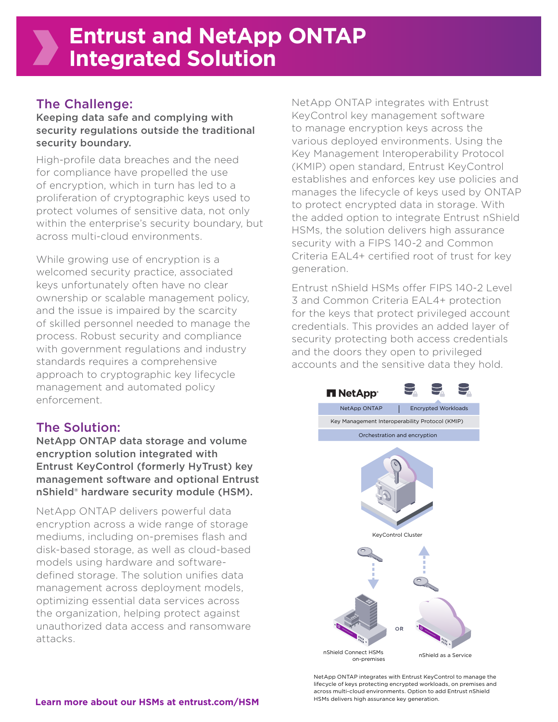### The Challenge:

Keeping data safe and complying with security regulations outside the traditional security boundary.

High-profile data breaches and the need for compliance have propelled the use of encryption, which in turn has led to a proliferation of cryptographic keys used to protect volumes of sensitive data, not only within the enterprise's security boundary, but across multi-cloud environments.

While growing use of encryption is a welcomed security practice, associated keys unfortunately often have no clear ownership or scalable management policy, and the issue is impaired by the scarcity of skilled personnel needed to manage the process. Robust security and compliance with government regulations and industry standards requires a comprehensive approach to cryptographic key lifecycle management and automated policy enforcement.

## The Solution:

NetApp ONTAP data storage and volume encryption solution integrated with Entrust KeyControl (formerly HyTrust) key management software and optional Entrust nShield® hardware security module (HSM).

NetApp ONTAP delivers powerful data encryption across a wide range of storage mediums, including on-premises flash and disk-based storage, as well as cloud-based models using hardware and softwaredefined storage. The solution unifies data management across deployment models, optimizing essential data services across the organization, helping protect against unauthorized data access and ransomware attacks.

NetApp ONTAP integrates with Entrust KeyControl key management software to manage encryption keys across the various deployed environments. Using the Key Management Interoperability Protocol (KMIP) open standard, Entrust KeyControl establishes and enforces key use policies and manages the lifecycle of keys used by ONTAP to protect encrypted data in storage. With the added option to integrate Entrust nShield HSMs, the solution delivers high assurance security with a FIPS 140-2 and Common Criteria EAL4+ certified root of trust for key generation.

Entrust nShield HSMs offer FIPS 140-2 Level 3 and Common Criteria EAL4+ protection for the keys that protect privileged account credentials. This provides an added layer of security protecting both access credentials and the doors they open to privileged accounts and the sensitive data they hold.



NetApp ONTAP integrates with Entrust KeyControl to manage the lifecycle of keys protecting encrypted workloads, on premises and across multi-cloud environments. Option to add Entrust nShield HSMs delivers high assurance key generation.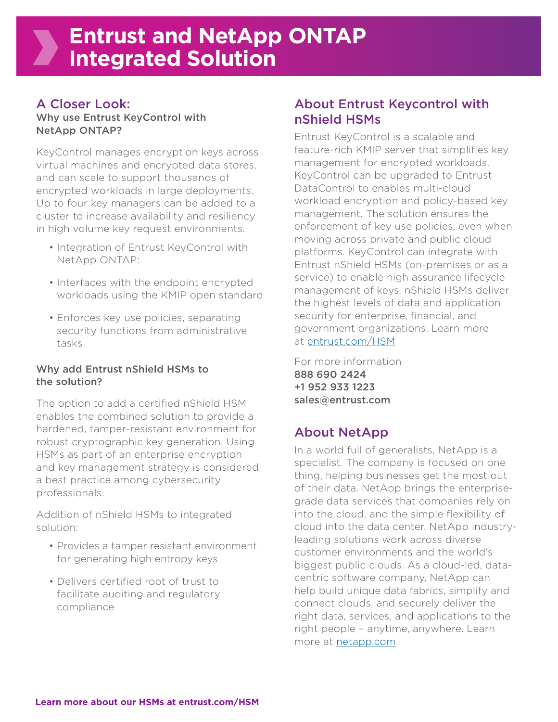## A Closer Look:

#### Why use Entrust KeyControl with NetApp ONTAP?

KeyControl manages encryption keys across virtual machines and encrypted data stores, and can scale to support thousands of encrypted workloads in large deployments. Up to four key managers can be added to a cluster to increase availability and resiliency in high volume key request environments.

- Integration of Entrust KeyControl with NetApp ONTAP:
- Interfaces with the endpoint encrypted workloads using the KMIP open standard
- Enforces key use policies, separating security functions from administrative tasks

#### Why add Entrust nShield HSMs to the solution?

The option to add a certified nShield HSM enables the combined solution to provide a hardened, tamper-resistant environment for robust cryptographic key generation. Using HSMs as part of an enterprise encryption and key management strategy is considered a best practice among cybersecurity professionals.

Addition of nShield HSMs to integrated solution:

- Provides a tamper resistant environment for generating high entropy keys
- Delivers certified root of trust to facilitate auditing and regulatory compliance

## About Entrust Keycontrol with nShield HSMs

Entrust KeyControl is a scalable and feature-rich KMIP server that simplifies key management for encrypted workloads. KeyControl can be upgraded to Entrust DataControl to enables multi-cloud workload encryption and policy-based key management. The solution ensures the enforcement of key use policies, even when moving across private and public cloud platforms. KeyControl can integrate with Entrust nShield HSMs (on-premises or as a service) to enable high assurance lifecycle management of keys. nShield HSMs deliver the highest levels of data and application security for enterprise, financial, and government organizations. Learn more at [entrust.com/HSM](https://www.entrust.com/digital-security/hsm)

For more information 888 690 2424 +1 952 933 1223 sales@entrust.com

# About NetApp

In a world full of generalists, NetApp is a specialist. The company is focused on one thing, helping businesses get the most out of their data. NetApp brings the enterprisegrade data services that companies rely on into the cloud, and the simple flexibility of cloud into the data center. NetApp industryleading solutions work across diverse customer environments and the world's biggest public clouds. As a cloud-led, datacentric software company, NetApp can help build unique data fabrics, simplify and connect clouds, and securely deliver the right data, services, and applications to the right people – anytime, anywhere. Learn more at [netapp.com](https://www.netapp.com/)